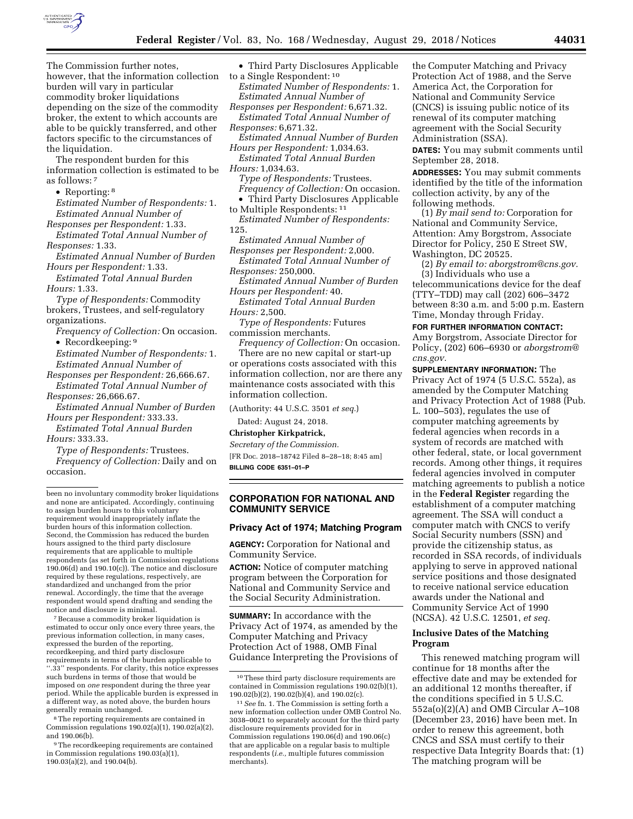

The Commission further notes, however, that the information collection burden will vary in particular commodity broker liquidations depending on the size of the commodity broker, the extent to which accounts are able to be quickly transferred, and other factors specific to the circumstances of the liquidation.

The respondent burden for this information collection is estimated to be as follows: 7

• Reporting: 8

*Estimated Number of Respondents:* 1. *Estimated Annual Number of Responses per Respondent:* 1.33.

*Estimated Total Annual Number of Responses:* 1.33.

*Estimated Annual Number of Burden Hours per Respondent:* 1.33.

*Estimated Total Annual Burden Hours:* 1.33.

*Type of Respondents:* Commodity brokers, Trustees, and self-regulatory organizations.

- *Frequency of Collection:* On occasion. • Recordkeeping: 9
- *Estimated Number of Respondents:* 1. *Estimated Annual Number of*
- *Responses per Respondent:* 26,666.67. *Estimated Total Annual Number of Responses:* 26,666.67.
- *Estimated Annual Number of Burden Hours per Respondent:* 333.33.

*Estimated Total Annual Burden Hours:* 333.33.

*Type of Respondents:* Trustees. *Frequency of Collection:* Daily and on occasion.

7Because a commodity broker liquidation is estimated to occur only once every three years, the previous information collection, in many cases, expressed the burden of the reporting, recordkeeping, and third party disclosure requirements in terms of the burden applicable to ''.33'' respondents. For clarity, this notice expresses such burdens in terms of those that would be imposed on *one* respondent during the three year period. While the applicable burden is expressed in a different way, as noted above, the burden hours generally remain unchanged.

8The reporting requirements are contained in Commission regulations 190.02(a)(1), 190.02(a)(2), and 190.06(b).

9The recordkeeping requirements are contained in Commission regulations 190.03(a)(1), 190.03(a)(2), and 190.04(b).

• Third Party Disclosures Applicable

to a Single Respondent: 10 *Estimated Number of Respondents:* 1. *Estimated Annual Number of Responses per Respondent:* 6,671.32.

*Estimated Total Annual Number of Responses:* 6,671.32.

*Estimated Annual Number of Burden* 

- *Hours per Respondent:* 1,034.63. *Estimated Total Annual Burden*
- *Hours:* 1,034.63. *Type of Respondents:* Trustees. *Frequency of Collection:* On occasion.
- Third Party Disclosures Applicable to Multiple Respondents: 11

*Estimated Number of Respondents:*  125.

*Estimated Annual Number of Responses per Respondent:* 2,000.

*Estimated Total Annual Number of Responses:* 250,000.

*Estimated Annual Number of Burden Hours per Respondent:* 40.

*Estimated Total Annual Burden Hours:* 2,500.

*Type of Respondents:* Futures commission merchants.

*Frequency of Collection:* On occasion.

There are no new capital or start-up or operations costs associated with this information collection, nor are there any maintenance costs associated with this information collection.

(Authority: 44 U.S.C. 3501 *et seq.*)

# Dated: August 24, 2018.

# **Christopher Kirkpatrick,**

*Secretary of the Commission.*  [FR Doc. 2018–18742 Filed 8–28–18; 8:45 am] **BILLING CODE 6351–01–P** 

# **CORPORATION FOR NATIONAL AND COMMUNITY SERVICE**

#### **Privacy Act of 1974; Matching Program**

**AGENCY:** Corporation for National and Community Service.

**ACTION:** Notice of computer matching program between the Corporation for National and Community Service and the Social Security Administration.

**SUMMARY:** In accordance with the Privacy Act of 1974, as amended by the Computer Matching and Privacy Protection Act of 1988, OMB Final Guidance Interpreting the Provisions of the Computer Matching and Privacy Protection Act of 1988, and the Serve America Act, the Corporation for National and Community Service (CNCS) is issuing public notice of its renewal of its computer matching agreement with the Social Security Administration (SSA).

**DATES:** You may submit comments until September 28, 2018.

**ADDRESSES:** You may submit comments identified by the title of the information collection activity, by any of the following methods.

(1) *By mail send to:* Corporation for National and Community Service, Attention: Amy Borgstrom, Associate Director for Policy, 250 E Street SW, Washington, DC 20525.

(2) *By email to: [aborgstrom@cns.gov.](mailto:aborgstrom@cns.gov)*  (3) Individuals who use a telecommunications device for the deaf (TTY–TDD) may call (202) 606–3472

between 8:30 a.m. and 5:00 p.m. Eastern Time, Monday through Friday. **FOR FURTHER INFORMATION CONTACT:** 

Amy Borgstrom, Associate Director for Policy, (202) 606–6930 or *[aborgstrom@](mailto:aborgstrom@cns.gov) [cns.gov.](mailto:aborgstrom@cns.gov)* 

**SUPPLEMENTARY INFORMATION:** The Privacy Act of 1974 (5 U.S.C. 552a), as amended by the Computer Matching and Privacy Protection Act of 1988 (Pub. L. 100–503), regulates the use of computer matching agreements by federal agencies when records in a system of records are matched with other federal, state, or local government records. Among other things, it requires federal agencies involved in computer matching agreements to publish a notice in the **Federal Register** regarding the establishment of a computer matching agreement. The SSA will conduct a computer match with CNCS to verify Social Security numbers (SSN) and provide the citizenship status, as recorded in SSA records, of individuals applying to serve in approved national service positions and those designated to receive national service education awards under the National and Community Service Act of 1990 (NCSA). 42 U.S.C. 12501, *et seq.* 

### **Inclusive Dates of the Matching Program**

This renewed matching program will continue for 18 months after the effective date and may be extended for an additional 12 months thereafter, if the conditions specified in 5 U.S.C. 552a(o)(2)(A) and OMB Circular A–108 (December 23, 2016) have been met. In order to renew this agreement, both CNCS and SSA must certify to their respective Data Integrity Boards that: (1) The matching program will be

been no involuntary commodity broker liquidations and none are anticipated. Accordingly, continuing to assign burden hours to this voluntary requirement would inappropriately inflate the burden hours of this information collection. Second, the Commission has reduced the burden hours assigned to the third party disclosure requirements that are applicable to multiple respondents (as set forth in Commission regulations  $190.06(d)$  and  $190.10(c)$ ). The notice and disclosure required by these regulations, respectively, are standardized and unchanged from the prior renewal. Accordingly, the time that the average respondent would spend drafting and sending the notice and disclosure is minimal.

<sup>10</sup>These third party disclosure requirements are contained in Commission regulations 190.02(b)(1), 190.02(b)(2), 190.02(b)(4), and 190.02(c).

<sup>11</sup>*See* fn. 1. The Commission is setting forth a new information collection under OMB Control No. 3038–0021 to separately account for the third party disclosure requirements provided for in Commission regulations 190.06(d) and 190.06(c) that are applicable on a regular basis to multiple respondents (*i.e.,* multiple futures commission merchants).